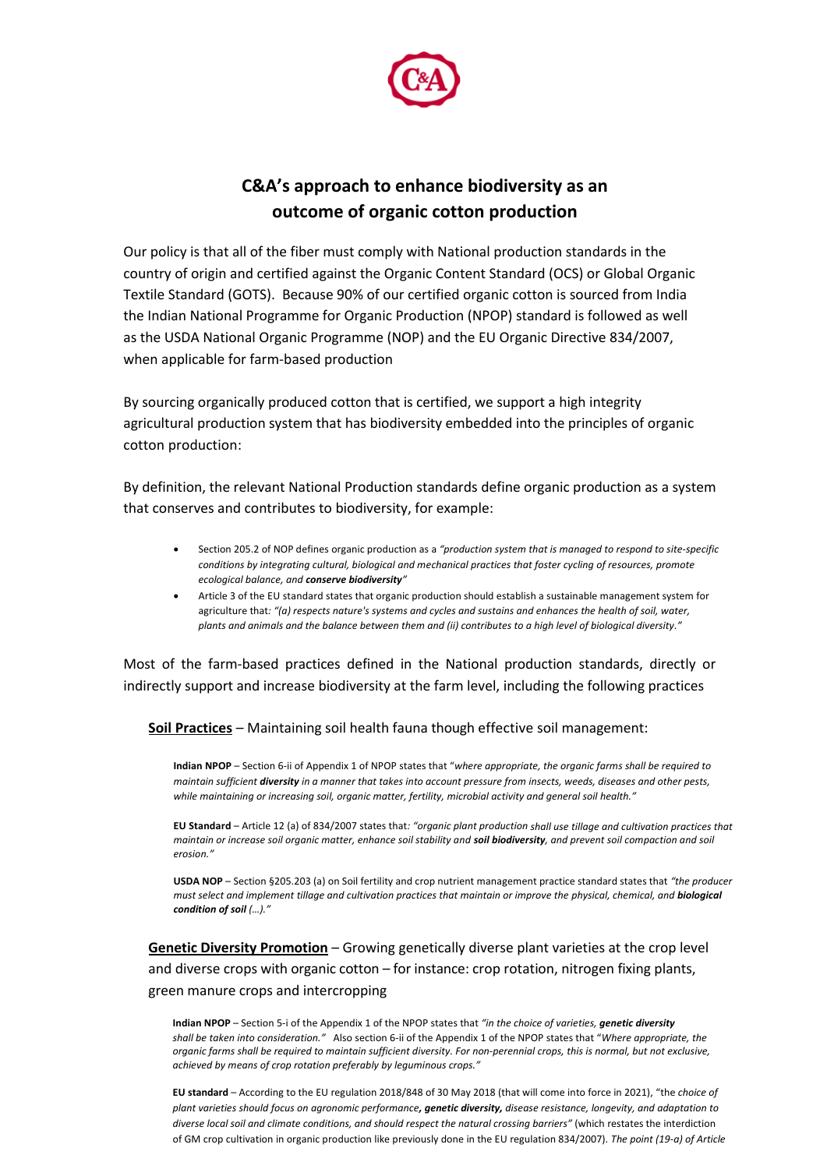

## **C&A's approach to enhance biodiversity as an outcome of organic cotton production**

Our policy is that all of the fiber must comply with National production standards in the country of origin and certified against the Organic Content Standard (OCS) or Global Organic Textile Standard (GOTS). Because 90% of our certified organic cotton is sourced from India the Indian National Programme for Organic Production (NPOP) standard is followed as well as the USDA National Organic Programme (NOP) and the EU Organic Directive 834/2007, when applicable for farm-based production

By sourcing organically produced cotton that is certified, we support a high integrity agricultural production system that has biodiversity embedded into the principles of organic cotton production:

By definition, the relevant National Production standards define organic production as a system that conserves and contributes to biodiversity, for example:

- Section 205.2 of NOP defines organic production as a *"production system that is managed to respond to site-specific conditions by integrating cultural, biological and mechanical practices that foster cycling of resources, promote ecological balance, and conserve biodiversity"*
- Article 3 of the EU standard states that organic production should establish a sustainable management system for agriculture that*: "(a) respects nature's systems and cycles and sustains and enhances the health of soil, water, plants and animals and the balance between them and (ii) contributes to a high level of biological diversity."*

Most of the farm-based practices defined in the National production standards, directly or indirectly support and increase biodiversity at the farm level, including the following practices

**Soil Practices** – Maintaining soil health fauna though effective soil management:

**Indian NPOP** – Section 6-ii of Appendix 1 of NPOP states that "*where appropriate, the organic farms shall be required to maintain sufficient diversity in a manner that takes into account pressure from insects, weeds, diseases and other pests, while maintaining or increasing soil, organic matter, fertility, microbial activity and general soil health."*

**EU Standard** – Article 12 (a) of 834/2007 states that*: "organic plant production shall use tillage and cultivation practices that maintain or increase soil organic matter, enhance soil stability and soil biodiversity, and prevent soil compaction and soil erosion."*

**USDA NOP** – Section §205.203 (a) on Soil fertility and crop nutrient management practice standard states that *"the producer must select and implement tillage and cultivation practices that maintain or improve the physical, chemical, and biological condition of soil (…)."*

**Genetic Diversity Promotion** – Growing genetically diverse plant varieties at the crop level and diverse crops with organic cotton – for instance: crop rotation, nitrogen fixing plants, green manure crops and intercropping

**Indian NPOP** – Section 5-i of the Appendix 1 of the NPOP states that *"in the choice of varieties, genetic diversity shall be taken into consideration."* Also section 6-ii of the Appendix 1 of the NPOP states that "*Where appropriate, the organic farms shall be required to maintain sufficient diversity. For non-perennial crops, this is normal, but not exclusive, achieved by means of crop rotation preferably by leguminous crops."*

**EU standard** – According to the EU regulation 2018/848 of 30 May 2018 (that will come into force in 2021), "the *choice of plant varieties should focus on agronomic performance, genetic diversity, disease resistance, longevity, and adaptation to diverse local soil and climate conditions, and should respect the natural crossing barriers"* (which restates the interdiction of GM crop cultivation in organic production like previously done in the EU regulation 834/2007)*. The point (19-a) of Article*